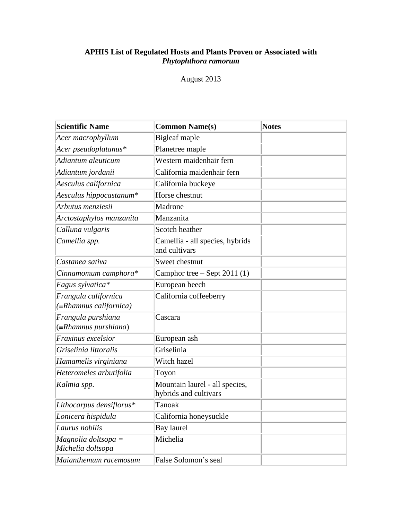# **APHIS List of Regulated Hosts and Plants Proven or Associated with**  *Phytophthora ramorum*

# August 2013

| Scientific Name                                        | <b>Common Name(s)</b>                                   | <b>Notes</b> |
|--------------------------------------------------------|---------------------------------------------------------|--------------|
| Acer macrophyllum                                      | <b>Bigleaf</b> maple                                    |              |
| Acer pseudoplatanus*                                   | Planetree maple                                         |              |
| Adiantum aleuticum                                     | Western maidenhair fern                                 |              |
| Adiantum jordanii                                      | California maidenhair fern                              |              |
| Aesculus californica                                   | California buckeye                                      |              |
| Aesculus hippocastanum*                                | Horse chestnut                                          |              |
| Arbutus menziesii                                      | Madrone                                                 |              |
| Arctostaphylos manzanita                               | Manzanita                                               |              |
| Calluna vulgaris                                       | Scotch heather                                          |              |
| Camellia spp.                                          | Camellia - all species, hybrids<br>and cultivars        |              |
| Castanea sativa                                        | Sweet chestnut                                          |              |
| Cinnamomum camphora*                                   | Camphor tree $-$ Sept 2011 (1)                          |              |
| Fagus sylvatica*                                       | European beech                                          |              |
| Frangula californica<br>$(\equiv$ Rhamnus californica) | California coffeeberry                                  |              |
| Frangula purshiana<br>$(\equiv Rhamnus purshiana)$     | Cascara                                                 |              |
| Fraxinus excelsior                                     | European ash                                            |              |
| Griselinia littoralis                                  | Griselinia                                              |              |
| Hamamelis virginiana                                   | Witch hazel                                             |              |
| Heteromeles arbutifolia                                | Toyon                                                   |              |
| Kalmia spp.                                            | Mountain laurel - all species,<br>hybrids and cultivars |              |
| Lithocarpus densiflorus*                               | <b>Tanoak</b>                                           |              |
| Lonicera hispidula                                     | California honeysuckle                                  |              |
| Laurus nobilis                                         | Bay laurel                                              |              |
| $Magnolia$ doltsopa =<br>Michelia doltsopa             | Michelia                                                |              |
| Maianthemum racemosum                                  | False Solomon's seal                                    |              |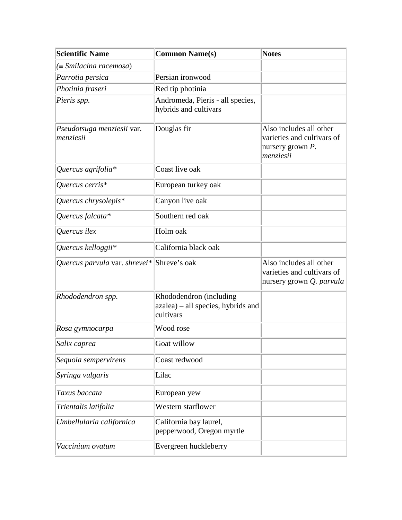| <b>Scientific Name</b>                     | <b>Common Name(s)</b>                                                      | <b>Notes</b>                                                                              |
|--------------------------------------------|----------------------------------------------------------------------------|-------------------------------------------------------------------------------------------|
| $(\equiv Smilacina racemosa)$              |                                                                            |                                                                                           |
| Parrotia persica                           | Persian ironwood                                                           |                                                                                           |
| Photinia fraseri                           | Red tip photinia                                                           |                                                                                           |
| Pieris spp.                                | Andromeda, Pieris - all species,<br>hybrids and cultivars                  |                                                                                           |
| Pseudotsuga menziesii var.<br>menziesii    | Douglas fir                                                                | Also includes all other<br>varieties and cultivars of<br>nursery grown $P$ .<br>menziesii |
| Quercus agrifolia*                         | Coast live oak                                                             |                                                                                           |
| Quercus cerris*                            | European turkey oak                                                        |                                                                                           |
| Quercus chrysolepis $*$                    | Canyon live oak                                                            |                                                                                           |
| Quercus falcata*                           | Southern red oak                                                           |                                                                                           |
| Quercus ilex                               | Holm oak                                                                   |                                                                                           |
| Quercus kelloggii*                         | California black oak                                                       |                                                                                           |
| Quercus parvula var. shrevei* Shreve's oak |                                                                            | Also includes all other<br>varieties and cultivars of<br>nursery grown Q. parvula         |
| Rhododendron spp.                          | Rhododendron (including<br>azalea) - all species, hybrids and<br>cultivars |                                                                                           |
| Rosa gymnocarpa                            | Wood rose                                                                  |                                                                                           |
| Salix caprea                               | Goat willow                                                                |                                                                                           |
| Sequoia sempervirens                       | Coast redwood                                                              |                                                                                           |
| Syringa vulgaris                           | Lilac                                                                      |                                                                                           |
| Taxus baccata                              | European yew                                                               |                                                                                           |
| Trientalis latifolia                       | Western starflower                                                         |                                                                                           |
| Umbellularia californica                   | California bay laurel,<br>pepperwood, Oregon myrtle                        |                                                                                           |
| Vaccinium ovatum                           | Evergreen huckleberry                                                      |                                                                                           |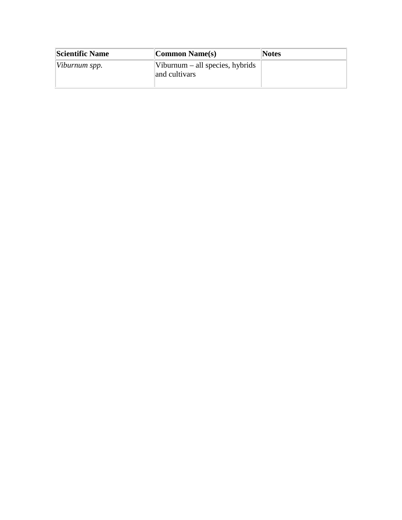| <b>Scientific Name</b> | Common Name(s)                                            | <b>Notes</b> |
|------------------------|-----------------------------------------------------------|--------------|
| $[Viburnum$ spp.       | $\forall$ iburnum – all species, hybrids<br>and cultivars |              |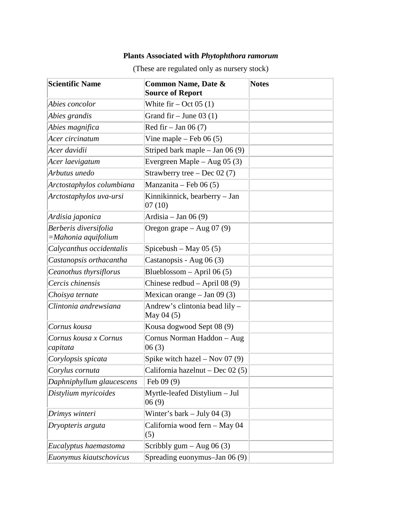# **Plants Associated with** *Phytophthora ramorum*

| <b>Scientific Name</b>                         | <b>Common Name, Date &amp;</b><br><b>Source of Report</b> | <b>Notes</b> |
|------------------------------------------------|-----------------------------------------------------------|--------------|
| Abies concolor                                 | White fir – Oct 05 $(1)$                                  |              |
| Abies grandis                                  | Grand fir – June 03 $(1)$                                 |              |
| Abies magnifica                                | Red fir $-$ Jan 06 (7)                                    |              |
| Acer circinatum                                | Vine maple – Feb $06(5)$                                  |              |
| Acer davidii                                   | Striped bark maple $-$ Jan 06 (9)                         |              |
| Acer laevigatum                                | Evergreen Maple – Aug $05(3)$                             |              |
| Arbutus unedo                                  | Strawberry tree $-$ Dec 02 (7)                            |              |
| Arctostaphylos columbiana                      | Manzanita – Feb 06 $(5)$                                  |              |
| Arctostaphylos uva-ursi                        | Kinnikinnick, bearberry - Jan<br>07(10)                   |              |
| Ardisia japonica                               | Ardisia – Jan 06 $(9)$                                    |              |
| Berberis diversifolia<br>$=Mahonia$ aquifolium | Oregon grape $-$ Aug 07 (9)                               |              |
| Calycanthus occidentalis                       | Spicebush – May 05 $(5)$                                  |              |
| Castanopsis orthacantha                        | Castanopsis - Aug 06 (3)                                  |              |
| Ceanothus thyrsiflorus                         | Blueblossom – April 06 $(5)$                              |              |
| Cercis chinensis                               | Chinese redbud $-$ April 08 (9)                           |              |
| Choisya ternate                                | Mexican orange $-$ Jan 09 (3)                             |              |
| Clintonia andrewsiana                          | Andrew's clintonia bead lily -<br>May 04 (5)              |              |
| Cornus kousa                                   | Kousa dogwood Sept 08 (9)                                 |              |
| Cornus kousa x Cornus<br>capitata              | Cornus Norman Haddon - Aug<br>06(3)                       |              |
| Corylopsis spicata                             | Spike witch hazel $-$ Nov 07 (9)                          |              |
| Corylus cornuta                                | California hazelnut – Dec 02 (5)                          |              |
| Daphniphyllum glaucescens                      | Feb $09(9)$                                               |              |
| Distylium myricoides                           | Myrtle-leafed Distylium - Jul<br>06(9)                    |              |
| Drimys winteri                                 | Winter's bark $-$ July 04 (3)                             |              |
| Dryopteris arguta                              | California wood fern - May 04<br>(5)                      |              |
| Eucalyptus haemastoma                          | Scribbly $gum - Aug 06 (3)$                               |              |
| Euonymus kiautschovicus                        | Spreading euonymus-Jan 06 (9)                             |              |

(These are regulated only as nursery stock)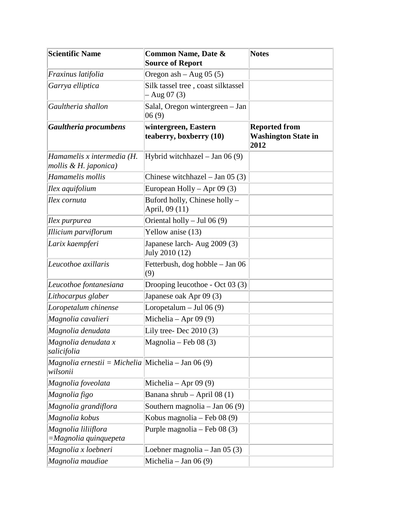| <b>Scientific Name</b>                                                         | <b>Common Name, Date &amp;</b><br><b>Source of Report</b> | <b>Notes</b>                                               |
|--------------------------------------------------------------------------------|-----------------------------------------------------------|------------------------------------------------------------|
| Fraxinus latifolia                                                             | Oregon ash $-$ Aug 05 (5)                                 |                                                            |
| Garrya elliptica                                                               | Silk tassel tree, coast silktassel<br>$-$ Aug 07 (3)      |                                                            |
| Gaultheria shallon                                                             | Salal, Oregon wintergreen - Jan<br>06(9)                  |                                                            |
| Gaultheria procumbens                                                          | wintergreen, Eastern<br>teaberry, boxberry (10)           | <b>Reported from</b><br><b>Washington State in</b><br>2012 |
| Hamamelis x intermedia (H.<br>mollis & H. japonica)                            | Hybrid witchhazel $-$ Jan 06 (9)                          |                                                            |
| Hamamelis mollis                                                               | Chinese witchhazel $-$ Jan 05 (3)                         |                                                            |
| Ilex aquifolium                                                                | European Holly $-$ Apr 09 (3)                             |                                                            |
| Ilex cornuta                                                                   | Buford holly, Chinese holly -<br>April, 09 (11)           |                                                            |
| Ilex purpurea                                                                  | Oriental holly $-$ Jul 06 (9)                             |                                                            |
| Illicium parviflorum                                                           | Yellow anise (13)                                         |                                                            |
| Larix kaempferi                                                                | Japanese larch- Aug 2009 (3)<br>July 2010 (12)            |                                                            |
| Leucothoe axillaris                                                            | Fetterbush, dog hobble – Jan 06<br>(9)                    |                                                            |
| Leucothoe fontanesiana                                                         | Drooping leucothoe - Oct 03 (3)                           |                                                            |
| Lithocarpus glaber                                                             | Japanese oak Apr 09 (3)                                   |                                                            |
| Loropetalum chinense                                                           | Loropetalum $-$ Jul 06 (9)                                |                                                            |
| Magnolia cavalieri                                                             | Michelia – Apr 09 $(9)$                                   |                                                            |
| Magnolia denudata                                                              | Lily tree-Dec $2010(3)$                                   |                                                            |
| Magnolia denudata x<br>salicifolia                                             | Magnolia – Feb 08 $(3)$                                   |                                                            |
| <i>Magnolia ernestii</i> = <i>Michelia</i>   Michelia – Jan 06 (9)<br>wilsonii |                                                           |                                                            |
| Magnolia foveolata                                                             | Michelia – Apr 09 $(9)$                                   |                                                            |
| Magnolia figo                                                                  | Banana shrub – April 08 (1)                               |                                                            |
| Magnolia grandiflora                                                           | Southern magnolia – Jan 06 $(9)$                          |                                                            |
| Magnolia kobus                                                                 | Kobus magnolia - Feb 08 (9)                               |                                                            |
| Magnolia liliiflora<br>$=Magnolia$ quinquepeta                                 | Purple magnolia - Feb 08 (3)                              |                                                            |
| Magnolia x loebneri                                                            | Loebner magnolia – Jan 05 $(3)$                           |                                                            |
| Magnolia maudiae                                                               | Michelia – Jan 06 $(9)$                                   |                                                            |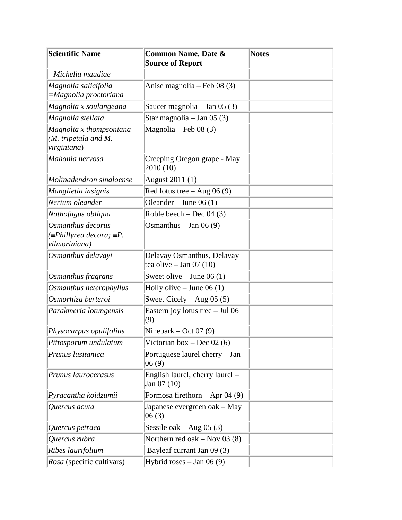| Scientific Name                                                               | <b>Common Name, Date &amp;</b><br><b>Source of Report</b> | <b>Notes</b> |
|-------------------------------------------------------------------------------|-----------------------------------------------------------|--------------|
| =Michelia maudiae                                                             |                                                           |              |
| Magnolia salicifolia<br>$=Magnolia$ proctoriana                               | Anise magnolia – Feb 08 (3)                               |              |
| Magnolia x soulangeana                                                        | Saucer magnolia – Jan 05 $(3)$                            |              |
| Magnolia stellata                                                             | Star magnolia - Jan 05 (3)                                |              |
| Magnolia x thompsoniana<br>(M. tripetala and M.<br>virginiana)                | Magnolia – Feb 08 $(3)$                                   |              |
| Mahonia nervosa                                                               | Creeping Oregon grape - May<br>2010 (10)                  |              |
| Molinadendron sinaloense                                                      | August 2011 (1)                                           |              |
| Manglietia insignis                                                           | Red lotus tree $-$ Aug 06 (9)                             |              |
| Nerium oleander                                                               | Oleander – June 06 $(1)$                                  |              |
| Nothofagus obliqua                                                            | Roble beech – Dec 04 $(3)$                                |              |
| Osmanthus decorus<br>$(\equiv$ Phillyrea decora; $\equiv$ P.<br>vilmoriniana) | Osmanthus $-$ Jan 06 (9)                                  |              |
| Osmanthus delavayi                                                            | Delavay Osmanthus, Delavay<br>tea olive $-$ Jan 07 (10)   |              |
| Osmanthus fragrans                                                            | Sweet olive $-$ June 06 (1)                               |              |
| Osmanthus heterophyllus                                                       | Holly olive $-$ June 06 (1)                               |              |
| Osmorhiza berteroi                                                            | Sweet Cicely – Aug 05 $(5)$                               |              |
| Parakmeria lotungensis                                                        | Eastern joy lotus tree $-$ Jul 06<br>(9)                  |              |
| Physocarpus opulifolius                                                       | Ninebark – Oct 07 $(9)$                                   |              |
| Pittosporum undulatum                                                         | Victorian box $-$ Dec 02 (6)                              |              |
| Prunus lusitanica                                                             | Portuguese laurel cherry - Jan<br>06(9)                   |              |
| Prunus laurocerasus                                                           | English laurel, cherry laurel -<br>Jan 07 (10)            |              |
| Pyracantha koidzumii                                                          | Formosa firethorn $-$ Apr 04 (9)                          |              |
| Quercus acuta                                                                 | Japanese evergreen oak – May<br>06(3)                     |              |
| Quercus petraea                                                               | Sessile oak – Aug 05 $(3)$                                |              |
| Quercus rubra                                                                 | Northern red oak $-$ Nov 03 (8)                           |              |
| Ribes laurifolium                                                             | Bayleaf currant Jan 09 (3)                                |              |
| Rosa (specific cultivars)                                                     | Hybrid roses $-$ Jan 06 (9)                               |              |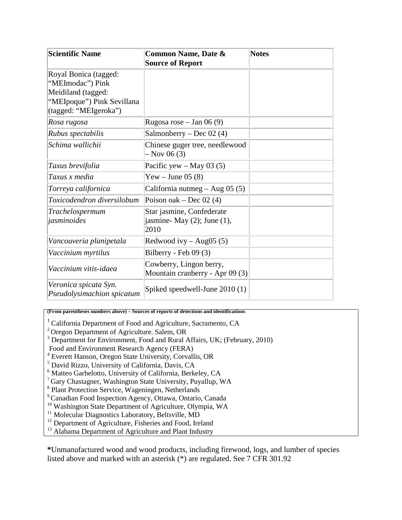| <b>Scientific Name</b>                                                                                                 | <b>Common Name, Date &amp;</b><br><b>Source of Report</b>             | <b>Notes</b> |
|------------------------------------------------------------------------------------------------------------------------|-----------------------------------------------------------------------|--------------|
| Royal Bonica (tagged:<br>"MEImodac") Pink<br>Meidiland (tagged:<br>"MEIpoque") Pink Sevillana<br>(tagged: "MEIgeroka") |                                                                       |              |
| Rosa rugosa                                                                                                            | Rugosa rose – Jan 06 $(9)$                                            |              |
| Rubus spectabilis                                                                                                      | Salmonberry – Dec 02 $(4)$                                            |              |
| Schima wallichii                                                                                                       | Chinese guger tree, needlewood<br>$-$ Nov 06 (3)                      |              |
| Taxus brevifolia                                                                                                       | Pacific yew $-$ May 03 (5)                                            |              |
| Taxus x media                                                                                                          | Yew – June 05 $(8)$                                                   |              |
| Torreya californica                                                                                                    | California nutmeg – Aug 05 $(5)$                                      |              |
| Toxicodendron diversilobum                                                                                             | Poison oak – Dec 02 $(4)$                                             |              |
| Trachelospermum<br>jasminoides                                                                                         | Star jasmine, Confederate<br>jasmine-May $(2)$ ; June $(1)$ ,<br>2010 |              |
| Vancouveria planipetala                                                                                                | Redwood ivy $-$ Aug05 (5)                                             |              |
| Vaccinium myrtilus                                                                                                     | Bilberry - Feb 09 (3)                                                 |              |
| Vaccinium vitis-idaea                                                                                                  | Cowberry, Lingon berry,<br>Mountain cranberry - Apr 09 (3)            |              |
| Veronica spicata Syn.<br>Pseudolysimachion spicatum                                                                    | Spiked speedwell-June 2010 (1)                                        |              |

**(From parentheses numbers above) – Sources of reports of detections and identifications**

- <sup>1</sup> California Department of Food and Agriculture, Sacramento, CA
- <sup>2</sup> Oregon Department of Agriculture. Salem, OR
- <sup>3</sup> Department for Environment, Food and Rural Affairs, UK; (February, 2010)
- Food and Environment Research Agency (FERA)
- <sup>4</sup> Everett Hanson, Oregon State University, Corvallis, OR
- <sup>5</sup> David Rizzo, University of California, Davis, CA
- <sup>6</sup> Matteo Garbelotto, University of California, Berkeley, CA
- <sup>7</sup> Gary Chastagner, Washington State University, Puyallup, WA
- <sup>8</sup> Plant Protection Service, Wageningen, Netherlands
- 9Canadian Food Inspection Agency, Ottawa, Ontario, Canada
- <sup>10</sup> Washington State Department of Agriculture, Olympia, WA
- <sup>11</sup> Molecular Diagnostics Laboratory, Beltsville, MD
- <sup>12</sup> Department of Agriculture, Fisheries and Food, Ireland
- <sup>13</sup> Alabama Department of Agriculture and Plant Industry

**\***Unmanufactured wood and wood products, including firewood, logs, and lumber of species listed above and marked with an asterisk (\*) are regulated. See 7 CFR 301.92